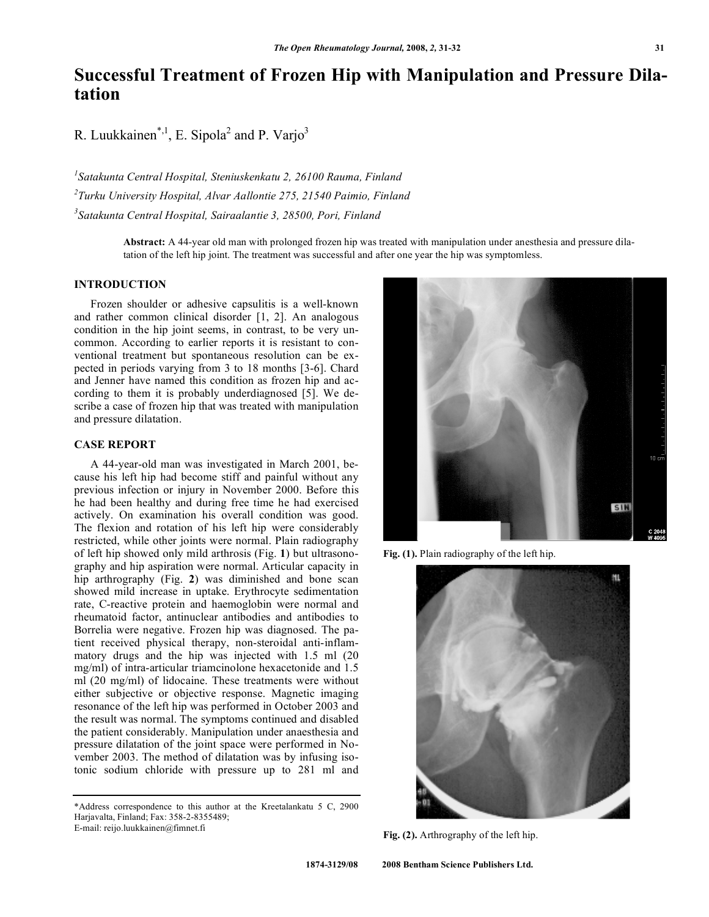# **Successful Treatment of Frozen Hip with Manipulation and Pressure Dilatation**

R. Luukkainen<sup>\*,1</sup>, E. Sipola<sup>2</sup> and P. Varjo<sup>3</sup>

*1 Satakunta Central Hospital, Steniuskenkatu 2, 26100 Rauma, Finland 2 Turku University Hospital, Alvar Aallontie 275, 21540 Paimio, Finland 3 Satakunta Central Hospital, Sairaalantie 3, 28500, Pori, Finland* 

> **Abstract:** A 44-year old man with prolonged frozen hip was treated with manipulation under anesthesia and pressure dilatation of the left hip joint. The treatment was successful and after one year the hip was symptomless.

#### **INTRODUCTION**

 Frozen shoulder or adhesive capsulitis is a well-known and rather common clinical disorder [1, 2]. An analogous condition in the hip joint seems, in contrast, to be very uncommon. According to earlier reports it is resistant to conventional treatment but spontaneous resolution can be expected in periods varying from 3 to 18 months [3-6]. Chard and Jenner have named this condition as frozen hip and according to them it is probably underdiagnosed [5]. We describe a case of frozen hip that was treated with manipulation and pressure dilatation.

### **CASE REPORT**

 A 44-year-old man was investigated in March 2001, because his left hip had become stiff and painful without any previous infection or injury in November 2000. Before this he had been healthy and during free time he had exercised actively. On examination his overall condition was good. The flexion and rotation of his left hip were considerably restricted, while other joints were normal. Plain radiography of left hip showed only mild arthrosis (Fig. **1**) but ultrasonography and hip aspiration were normal. Articular capacity in hip arthrography (Fig. **2**) was diminished and bone scan showed mild increase in uptake. Erythrocyte sedimentation rate, C-reactive protein and haemoglobin were normal and rheumatoid factor, antinuclear antibodies and antibodies to Borrelia were negative. Frozen hip was diagnosed. The patient received physical therapy, non-steroidal anti-inflammatory drugs and the hip was injected with 1.5 ml (20 mg/ml) of intra-articular triamcinolone hexacetonide and 1.5 ml (20 mg/ml) of lidocaine. These treatments were without either subjective or objective response. Magnetic imaging resonance of the left hip was performed in October 2003 and the result was normal. The symptoms continued and disabled the patient considerably. Manipulation under anaesthesia and pressure dilatation of the joint space were performed in November 2003. The method of dilatation was by infusing isotonic sodium chloride with pressure up to 281 ml and



**Fig. (1).** Plain radiography of the left hip.



**Fig. (2).** Arthrography of the left hip.

<sup>\*</sup>Address correspondence to this author at the Kreetalankatu 5 C, 2900 Harjavalta, Finland; Fax: 358-2-8355489; E-mail: reijo.luukkainen@fimnet.fi